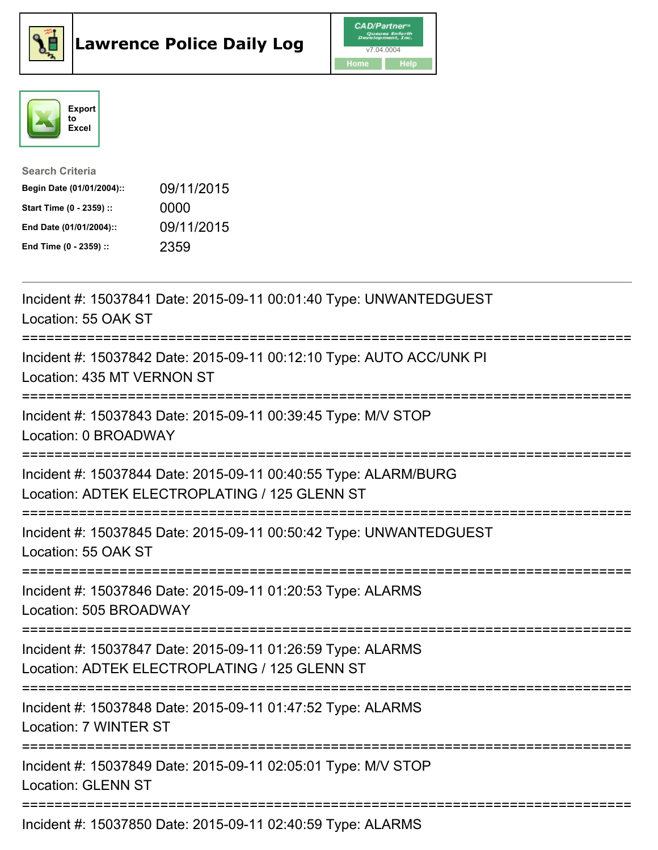





| <b>Search Criteria</b>    |            |
|---------------------------|------------|
| Begin Date (01/01/2004):: | 09/11/2015 |
| Start Time (0 - 2359) ::  | 0000       |
| End Date (01/01/2004)::   | 09/11/2015 |
| End Time (0 - 2359) ::    | 2359       |

Incident #: 15037841 Date: 2015-09-11 00:01:40 Type: UNWANTEDGUEST Location: 55 OAK ST =========================================================================== Incident #: 15037842 Date: 2015-09-11 00:12:10 Type: AUTO ACC/UNK PI Location: 435 MT VERNON ST =========================================================================== Incident #: 15037843 Date: 2015-09-11 00:39:45 Type: M/V STOP Location: 0 BROADWAY =========================================================================== Incident #: 15037844 Date: 2015-09-11 00:40:55 Type: ALARM/BURG Location: ADTEK ELECTROPLATING / 125 GLENN ST =========================================================================== Incident #: 15037845 Date: 2015-09-11 00:50:42 Type: UNWANTEDGUEST Location: 55 OAK ST =========================================================================== Incident #: 15037846 Date: 2015-09-11 01:20:53 Type: ALARMS Location: 505 BROADWAY =========================================================================== Incident #: 15037847 Date: 2015-09-11 01:26:59 Type: ALARMS Location: ADTEK ELECTROPLATING / 125 GLENN ST =========================================================================== Incident #: 15037848 Date: 2015-09-11 01:47:52 Type: ALARMS Location: 7 WINTER ST =========================================================================== Incident #: 15037849 Date: 2015-09-11 02:05:01 Type: M/V STOP Location: GLENN ST =========================================================================== Incident #: 15037850 Date: 2015-09-11 02:40:59 Type: ALARMS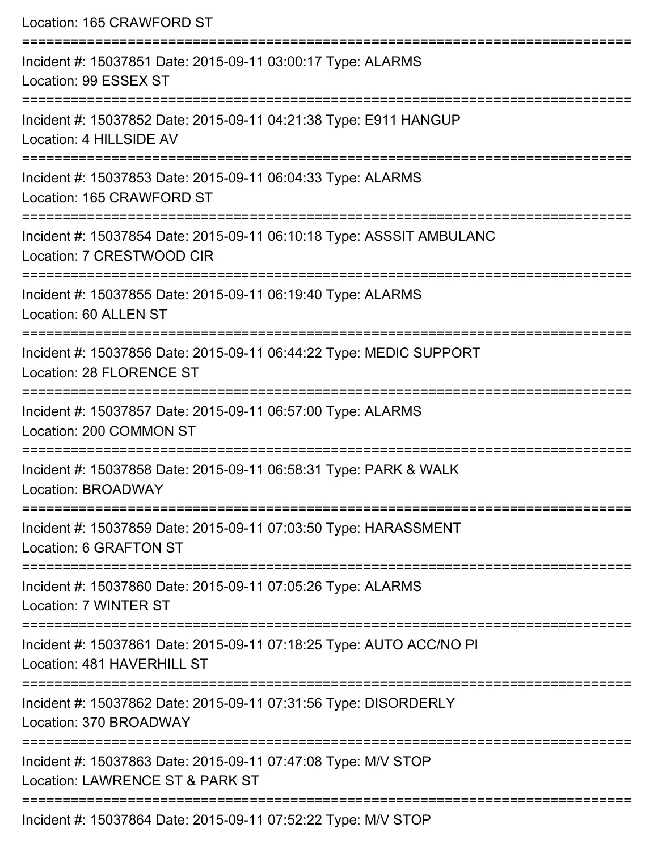| Location: 165 CRAWFORD ST                                                                                                   |
|-----------------------------------------------------------------------------------------------------------------------------|
| Incident #: 15037851 Date: 2015-09-11 03:00:17 Type: ALARMS<br>Location: 99 ESSEX ST                                        |
| Incident #: 15037852 Date: 2015-09-11 04:21:38 Type: E911 HANGUP<br>Location: 4 HILLSIDE AV                                 |
| Incident #: 15037853 Date: 2015-09-11 06:04:33 Type: ALARMS<br>Location: 165 CRAWFORD ST                                    |
| Incident #: 15037854 Date: 2015-09-11 06:10:18 Type: ASSSIT AMBULANC<br>Location: 7 CRESTWOOD CIR                           |
| Incident #: 15037855 Date: 2015-09-11 06:19:40 Type: ALARMS<br>Location: 60 ALLEN ST                                        |
| Incident #: 15037856 Date: 2015-09-11 06:44:22 Type: MEDIC SUPPORT<br>Location: 28 FLORENCE ST                              |
| Incident #: 15037857 Date: 2015-09-11 06:57:00 Type: ALARMS<br>Location: 200 COMMON ST                                      |
| Incident #: 15037858 Date: 2015-09-11 06:58:31 Type: PARK & WALK<br>Location: BROADWAY                                      |
| Incident #: 15037859 Date: 2015-09-11 07:03:50 Type: HARASSMENT<br>Location: 6 GRAFTON ST                                   |
| Incident #: 15037860 Date: 2015-09-11 07:05:26 Type: ALARMS<br>Location: 7 WINTER ST                                        |
| ----------------------<br>Incident #: 15037861 Date: 2015-09-11 07:18:25 Type: AUTO ACC/NO PI<br>Location: 481 HAVERHILL ST |
| Incident #: 15037862 Date: 2015-09-11 07:31:56 Type: DISORDERLY<br>Location: 370 BROADWAY                                   |
| Incident #: 15037863 Date: 2015-09-11 07:47:08 Type: M/V STOP<br>Location: LAWRENCE ST & PARK ST                            |
| Incident #: 15037864 Date: 2015-09-11 07:52:22 Type: M/V STOP                                                               |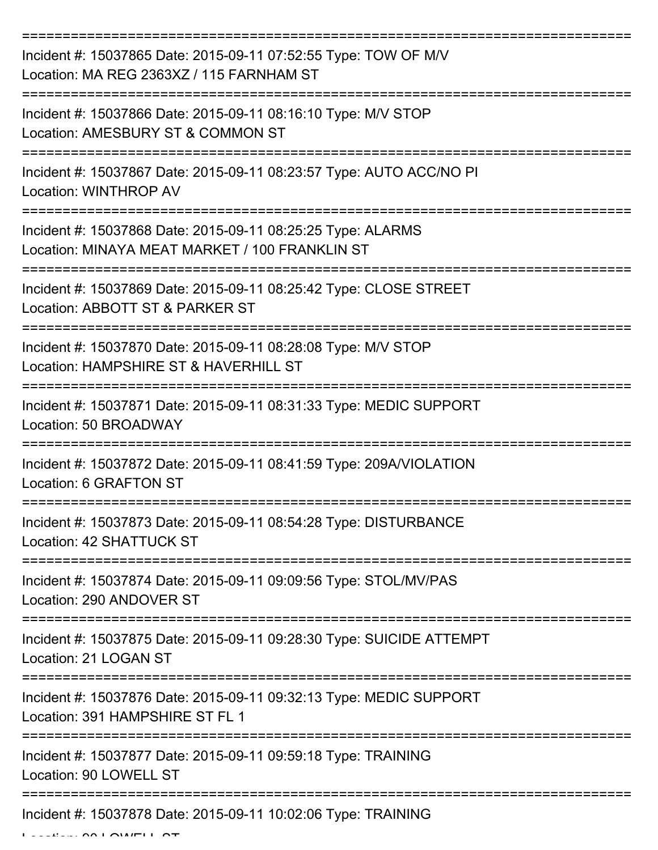| Incident #: 15037865 Date: 2015-09-11 07:52:55 Type: TOW OF M/V<br>Location: MA REG 2363XZ / 115 FARNHAM ST   |
|---------------------------------------------------------------------------------------------------------------|
| Incident #: 15037866 Date: 2015-09-11 08:16:10 Type: M/V STOP<br>Location: AMESBURY ST & COMMON ST            |
| Incident #: 15037867 Date: 2015-09-11 08:23:57 Type: AUTO ACC/NO PI<br>Location: WINTHROP AV                  |
| Incident #: 15037868 Date: 2015-09-11 08:25:25 Type: ALARMS<br>Location: MINAYA MEAT MARKET / 100 FRANKLIN ST |
| Incident #: 15037869 Date: 2015-09-11 08:25:42 Type: CLOSE STREET<br>Location: ABBOTT ST & PARKER ST          |
| Incident #: 15037870 Date: 2015-09-11 08:28:08 Type: M/V STOP<br>Location: HAMPSHIRE ST & HAVERHILL ST        |
| Incident #: 15037871 Date: 2015-09-11 08:31:33 Type: MEDIC SUPPORT<br>Location: 50 BROADWAY                   |
| Incident #: 15037872 Date: 2015-09-11 08:41:59 Type: 209A/VIOLATION<br>Location: 6 GRAFTON ST                 |
| Incident #: 15037873 Date: 2015-09-11 08:54:28 Type: DISTURBANCE<br>Location: 42 SHATTUCK ST                  |
| Incident #: 15037874 Date: 2015-09-11 09:09:56 Type: STOL/MV/PAS<br>Location: 290 ANDOVER ST                  |
| Incident #: 15037875 Date: 2015-09-11 09:28:30 Type: SUICIDE ATTEMPT<br>Location: 21 LOGAN ST                 |
| Incident #: 15037876 Date: 2015-09-11 09:32:13 Type: MEDIC SUPPORT<br>Location: 391 HAMPSHIRE ST FL 1         |
| Incident #: 15037877 Date: 2015-09-11 09:59:18 Type: TRAINING<br>Location: 90 LOWELL ST                       |
| Incident #: 15037878 Date: 2015-09-11 10:02:06 Type: TRAINING                                                 |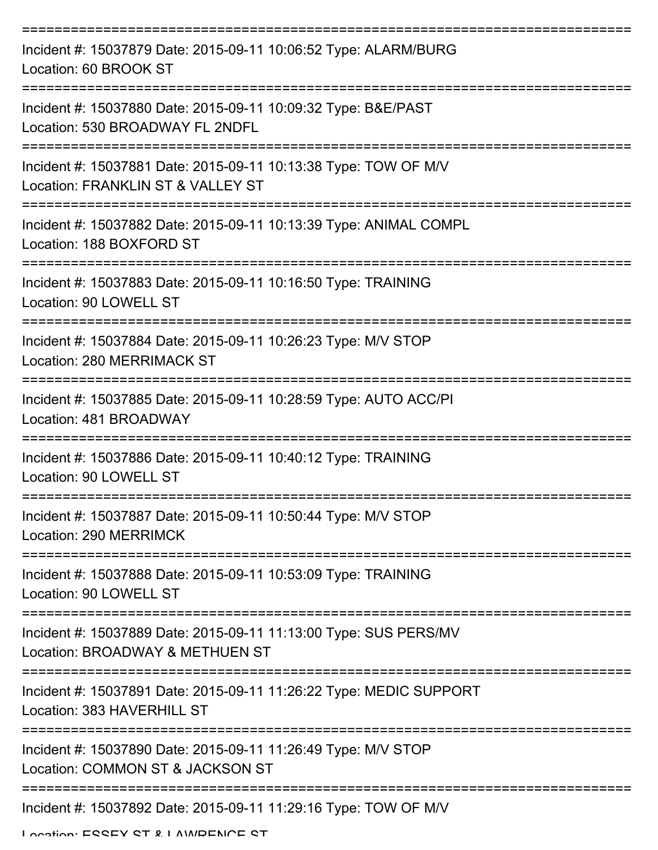| Incident #: 15037879 Date: 2015-09-11 10:06:52 Type: ALARM/BURG<br>Location: 60 BROOK ST             |
|------------------------------------------------------------------------------------------------------|
| Incident #: 15037880 Date: 2015-09-11 10:09:32 Type: B&E/PAST<br>Location: 530 BROADWAY FL 2NDFL     |
| Incident #: 15037881 Date: 2015-09-11 10:13:38 Type: TOW OF M/V<br>Location: FRANKLIN ST & VALLEY ST |
| Incident #: 15037882 Date: 2015-09-11 10:13:39 Type: ANIMAL COMPL<br>Location: 188 BOXFORD ST        |
| Incident #: 15037883 Date: 2015-09-11 10:16:50 Type: TRAINING<br>Location: 90 LOWELL ST              |
| Incident #: 15037884 Date: 2015-09-11 10:26:23 Type: M/V STOP<br>Location: 280 MERRIMACK ST          |
| Incident #: 15037885 Date: 2015-09-11 10:28:59 Type: AUTO ACC/PI<br>Location: 481 BROADWAY           |
| Incident #: 15037886 Date: 2015-09-11 10:40:12 Type: TRAINING<br>Location: 90 LOWELL ST              |
| Incident #: 15037887 Date: 2015-09-11 10:50:44 Type: M/V STOP<br>Location: 290 MERRIMCK              |
| Incident #: 15037888 Date: 2015-09-11 10:53:09 Type: TRAINING<br>Location: 90 LOWELL ST              |
| Incident #: 15037889 Date: 2015-09-11 11:13:00 Type: SUS PERS/MV<br>Location: BROADWAY & METHUEN ST  |
| Incident #: 15037891 Date: 2015-09-11 11:26:22 Type: MEDIC SUPPORT<br>Location: 383 HAVERHILL ST     |
| Incident #: 15037890 Date: 2015-09-11 11:26:49 Type: M/V STOP<br>Location: COMMON ST & JACKSON ST    |
| Incident #: 15037892 Date: 2015-09-11 11:29:16 Type: TOW OF M/V                                      |

Location: ESSEY ST & LAWDENCE ST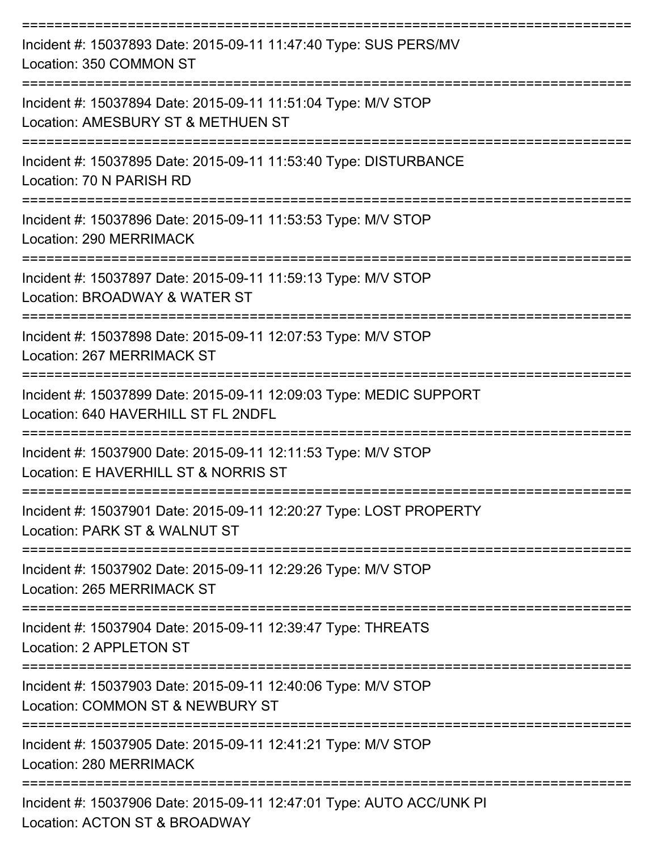| Incident #: 15037893 Date: 2015-09-11 11:47:40 Type: SUS PERS/MV<br>Location: 350 COMMON ST               |
|-----------------------------------------------------------------------------------------------------------|
| Incident #: 15037894 Date: 2015-09-11 11:51:04 Type: M/V STOP<br>Location: AMESBURY ST & METHUEN ST       |
| Incident #: 15037895 Date: 2015-09-11 11:53:40 Type: DISTURBANCE<br>Location: 70 N PARISH RD              |
| Incident #: 15037896 Date: 2015-09-11 11:53:53 Type: M/V STOP<br>Location: 290 MERRIMACK                  |
| Incident #: 15037897 Date: 2015-09-11 11:59:13 Type: M/V STOP<br>Location: BROADWAY & WATER ST            |
| Incident #: 15037898 Date: 2015-09-11 12:07:53 Type: M/V STOP<br>Location: 267 MERRIMACK ST               |
| Incident #: 15037899 Date: 2015-09-11 12:09:03 Type: MEDIC SUPPORT<br>Location: 640 HAVERHILL ST FL 2NDFL |
| Incident #: 15037900 Date: 2015-09-11 12:11:53 Type: M/V STOP<br>Location: E HAVERHILL ST & NORRIS ST     |
| Incident #: 15037901 Date: 2015-09-11 12:20:27 Type: LOST PROPERTY<br>Location: PARK ST & WALNUT ST       |
| Incident #: 15037902 Date: 2015-09-11 12:29:26 Type: M/V STOP<br><b>Location: 265 MERRIMACK ST</b>        |
| Incident #: 15037904 Date: 2015-09-11 12:39:47 Type: THREATS<br>Location: 2 APPLETON ST                   |
| Incident #: 15037903 Date: 2015-09-11 12:40:06 Type: M/V STOP<br>Location: COMMON ST & NEWBURY ST         |
| Incident #: 15037905 Date: 2015-09-11 12:41:21 Type: M/V STOP<br>Location: 280 MERRIMACK                  |
| Incident #: 15037906 Date: 2015-09-11 12:47:01 Type: AUTO ACC/UNK PI<br>Location: ACTON ST & BROADWAY     |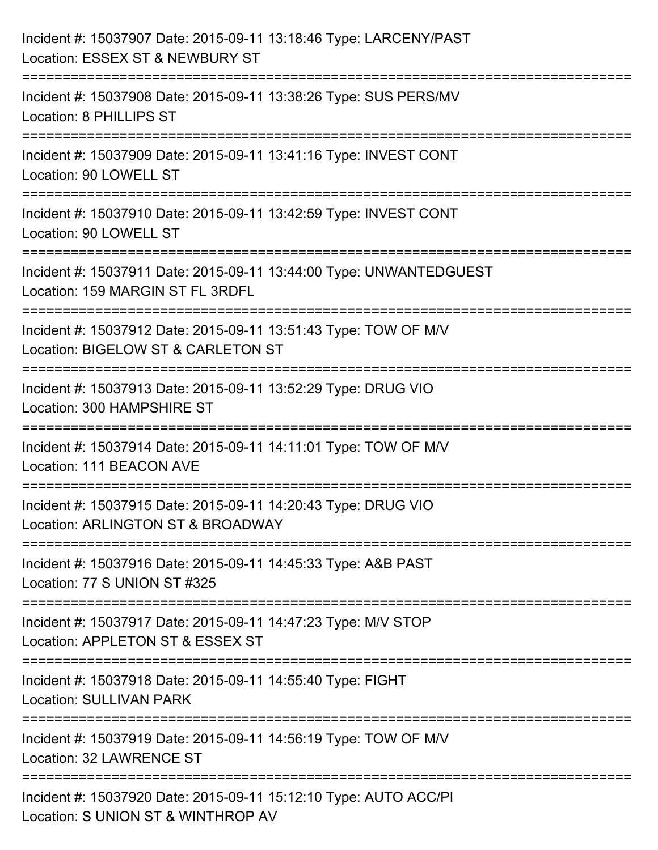| Incident #: 15037907 Date: 2015-09-11 13:18:46 Type: LARCENY/PAST<br>Location: ESSEX ST & NEWBURY ST                                                                                   |
|----------------------------------------------------------------------------------------------------------------------------------------------------------------------------------------|
| :=========================<br>Incident #: 15037908 Date: 2015-09-11 13:38:26 Type: SUS PERS/MV<br>Location: 8 PHILLIPS ST                                                              |
| Incident #: 15037909 Date: 2015-09-11 13:41:16 Type: INVEST CONT<br>Location: 90 LOWELL ST<br>:==========================                                                              |
| Incident #: 15037910 Date: 2015-09-11 13:42:59 Type: INVEST CONT<br>Location: 90 LOWELL ST                                                                                             |
| Incident #: 15037911 Date: 2015-09-11 13:44:00 Type: UNWANTEDGUEST<br>Location: 159 MARGIN ST FL 3RDFL<br>;====================================<br>=================================== |
| Incident #: 15037912 Date: 2015-09-11 13:51:43 Type: TOW OF M/V<br>Location: BIGELOW ST & CARLETON ST<br>:==================                                                           |
| Incident #: 15037913 Date: 2015-09-11 13:52:29 Type: DRUG VIO<br>Location: 300 HAMPSHIRE ST<br>=====================================                                                   |
| Incident #: 15037914 Date: 2015-09-11 14:11:01 Type: TOW OF M/V<br>Location: 111 BEACON AVE                                                                                            |
| Incident #: 15037915 Date: 2015-09-11 14:20:43 Type: DRUG VIO<br>Location: ARLINGTON ST & BROADWAY                                                                                     |
| Incident #: 15037916 Date: 2015-09-11 14:45:33 Type: A&B PAST<br>Location: 77 S UNION ST #325                                                                                          |
| Incident #: 15037917 Date: 2015-09-11 14:47:23 Type: M/V STOP<br>Location: APPLETON ST & ESSEX ST                                                                                      |
| Incident #: 15037918 Date: 2015-09-11 14:55:40 Type: FIGHT<br><b>Location: SULLIVAN PARK</b>                                                                                           |
| Incident #: 15037919 Date: 2015-09-11 14:56:19 Type: TOW OF M/V<br>Location: 32 LAWRENCE ST                                                                                            |
| Incident #: 15037920 Date: 2015-09-11 15:12:10 Type: AUTO ACC/PI<br>Location: S UNION ST & WINTHROP AV                                                                                 |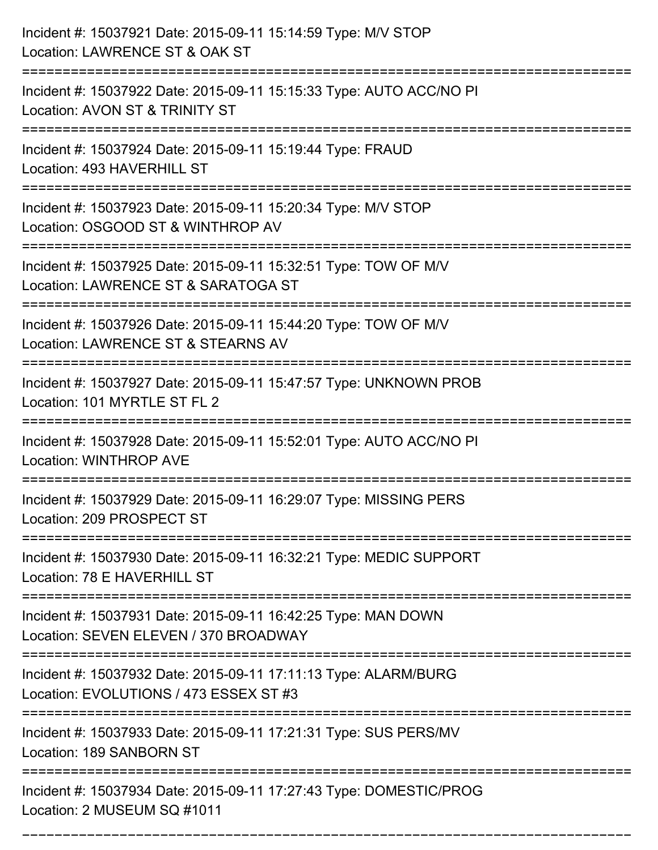| Incident #: 15037921 Date: 2015-09-11 15:14:59 Type: M/V STOP<br>Location: LAWRENCE ST & OAK ST<br>------------------------------------    |
|--------------------------------------------------------------------------------------------------------------------------------------------|
| Incident #: 15037922 Date: 2015-09-11 15:15:33 Type: AUTO ACC/NO PI<br>Location: AVON ST & TRINITY ST                                      |
| Incident #: 15037924 Date: 2015-09-11 15:19:44 Type: FRAUD<br>Location: 493 HAVERHILL ST<br>:==============================                |
| Incident #: 15037923 Date: 2015-09-11 15:20:34 Type: M/V STOP<br>Location: OSGOOD ST & WINTHROP AV                                         |
| Incident #: 15037925 Date: 2015-09-11 15:32:51 Type: TOW OF M/V<br>Location: LAWRENCE ST & SARATOGA ST<br>================================ |
| Incident #: 15037926 Date: 2015-09-11 15:44:20 Type: TOW OF M/V<br>Location: LAWRENCE ST & STEARNS AV                                      |
| Incident #: 15037927 Date: 2015-09-11 15:47:57 Type: UNKNOWN PROB<br>Location: 101 MYRTLE ST FL 2                                          |
| Incident #: 15037928 Date: 2015-09-11 15:52:01 Type: AUTO ACC/NO PI<br><b>Location: WINTHROP AVE</b>                                       |
| Incident #: 15037929 Date: 2015-09-11 16:29:07 Type: MISSING PERS<br>Location: 209 PROSPECT ST<br>--------------                           |
| Incident #: 15037930 Date: 2015-09-11 16:32:21 Type: MEDIC SUPPORT<br>Location: 78 E HAVERHILL ST                                          |
| Incident #: 15037931 Date: 2015-09-11 16:42:25 Type: MAN DOWN<br>Location: SEVEN ELEVEN / 370 BROADWAY                                     |
| Incident #: 15037932 Date: 2015-09-11 17:11:13 Type: ALARM/BURG<br>Location: EVOLUTIONS / 473 ESSEX ST #3                                  |
| Incident #: 15037933 Date: 2015-09-11 17:21:31 Type: SUS PERS/MV<br>Location: 189 SANBORN ST                                               |
| Incident #: 15037934 Date: 2015-09-11 17:27:43 Type: DOMESTIC/PROG<br>Location: 2 MUSEUM SQ #1011                                          |

===========================================================================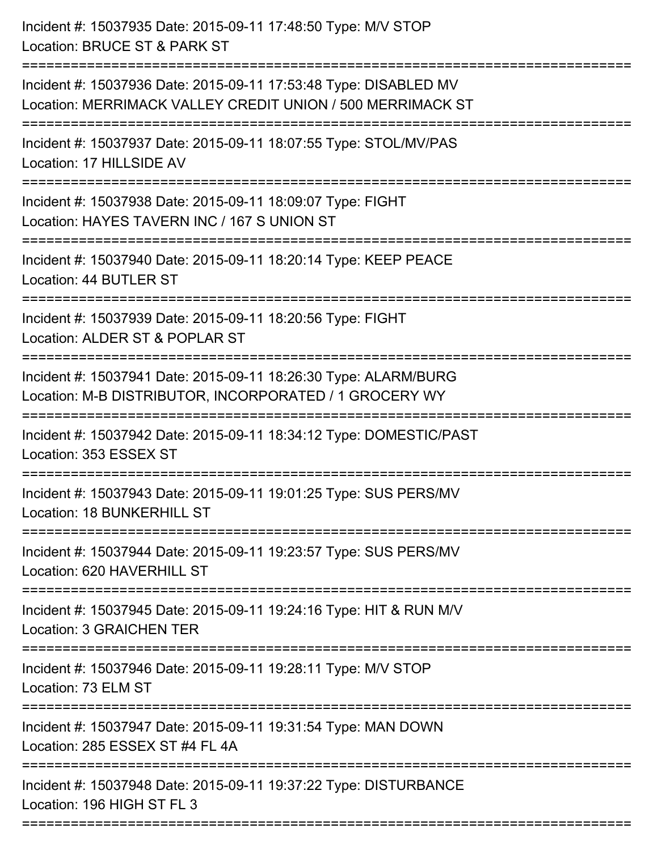| Incident #: 15037935 Date: 2015-09-11 17:48:50 Type: M/V STOP<br>Location: BRUCE ST & PARK ST                                                                         |
|-----------------------------------------------------------------------------------------------------------------------------------------------------------------------|
| Incident #: 15037936 Date: 2015-09-11 17:53:48 Type: DISABLED MV<br>Location: MERRIMACK VALLEY CREDIT UNION / 500 MERRIMACK ST<br>=================================== |
| Incident #: 15037937 Date: 2015-09-11 18:07:55 Type: STOL/MV/PAS<br>Location: 17 HILLSIDE AV                                                                          |
| Incident #: 15037938 Date: 2015-09-11 18:09:07 Type: FIGHT<br>Location: HAYES TAVERN INC / 167 S UNION ST                                                             |
| Incident #: 15037940 Date: 2015-09-11 18:20:14 Type: KEEP PEACE<br>Location: 44 BUTLER ST                                                                             |
| Incident #: 15037939 Date: 2015-09-11 18:20:56 Type: FIGHT<br>Location: ALDER ST & POPLAR ST                                                                          |
| Incident #: 15037941 Date: 2015-09-11 18:26:30 Type: ALARM/BURG<br>Location: M-B DISTRIBUTOR, INCORPORATED / 1 GROCERY WY                                             |
| Incident #: 15037942 Date: 2015-09-11 18:34:12 Type: DOMESTIC/PAST<br>Location: 353 ESSEX ST                                                                          |
| Incident #: 15037943 Date: 2015-09-11 19:01:25 Type: SUS PERS/MV<br>Location: 18 BUNKERHILL ST                                                                        |
| Incident #: 15037944 Date: 2015-09-11 19:23:57 Type: SUS PERS/MV<br>Location: 620 HAVERHILL ST                                                                        |
| Incident #: 15037945 Date: 2015-09-11 19:24:16 Type: HIT & RUN M/V<br><b>Location: 3 GRAICHEN TER</b>                                                                 |
| Incident #: 15037946 Date: 2015-09-11 19:28:11 Type: M/V STOP<br>Location: 73 ELM ST                                                                                  |
| Incident #: 15037947 Date: 2015-09-11 19:31:54 Type: MAN DOWN<br>Location: 285 ESSEX ST #4 FL 4A                                                                      |
| Incident #: 15037948 Date: 2015-09-11 19:37:22 Type: DISTURBANCE<br>Location: 196 HIGH ST FL 3                                                                        |
|                                                                                                                                                                       |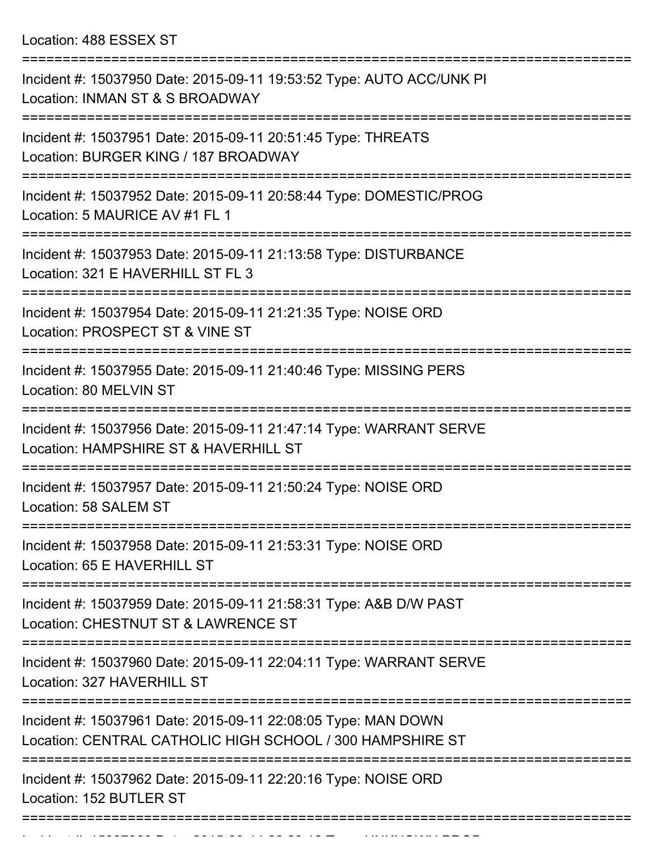Location: 488 ESSEX ST

| Incident #: 15037950 Date: 2015-09-11 19:53:52 Type: AUTO ACC/UNK PI<br>Location: INMAN ST & S BROADWAY                                   |
|-------------------------------------------------------------------------------------------------------------------------------------------|
| Incident #: 15037951 Date: 2015-09-11 20:51:45 Type: THREATS<br>Location: BURGER KING / 187 BROADWAY                                      |
| Incident #: 15037952 Date: 2015-09-11 20:58:44 Type: DOMESTIC/PROG<br>Location: 5 MAURICE AV #1 FL 1                                      |
| Incident #: 15037953 Date: 2015-09-11 21:13:58 Type: DISTURBANCE<br>Location: 321 E HAVERHILL ST FL 3                                     |
| Incident #: 15037954 Date: 2015-09-11 21:21:35 Type: NOISE ORD<br>Location: PROSPECT ST & VINE ST<br>==================================== |
| Incident #: 15037955 Date: 2015-09-11 21:40:46 Type: MISSING PERS<br>Location: 80 MELVIN ST                                               |
| Incident #: 15037956 Date: 2015-09-11 21:47:14 Type: WARRANT SERVE<br>Location: HAMPSHIRE ST & HAVERHILL ST                               |
| Incident #: 15037957 Date: 2015-09-11 21:50:24 Type: NOISE ORD<br>Location: 58 SALEM ST                                                   |
| Incident #: 15037958 Date: 2015-09-11 21:53:31 Type: NOISE ORD<br>Location: 65 E HAVERHILL ST                                             |
| ======================<br>Incident #: 15037959 Date: 2015-09-11 21:58:31 Type: A&B D/W PAST<br>Location: CHESTNUT ST & LAWRENCE ST        |
| Incident #: 15037960 Date: 2015-09-11 22:04:11 Type: WARRANT SERVE<br>Location: 327 HAVERHILL ST                                          |
| Incident #: 15037961 Date: 2015-09-11 22:08:05 Type: MAN DOWN<br>Location: CENTRAL CATHOLIC HIGH SCHOOL / 300 HAMPSHIRE ST                |
| Incident #: 15037962 Date: 2015-09-11 22:20:16 Type: NOISE ORD<br>Location: 152 BUTLER ST                                                 |
|                                                                                                                                           |